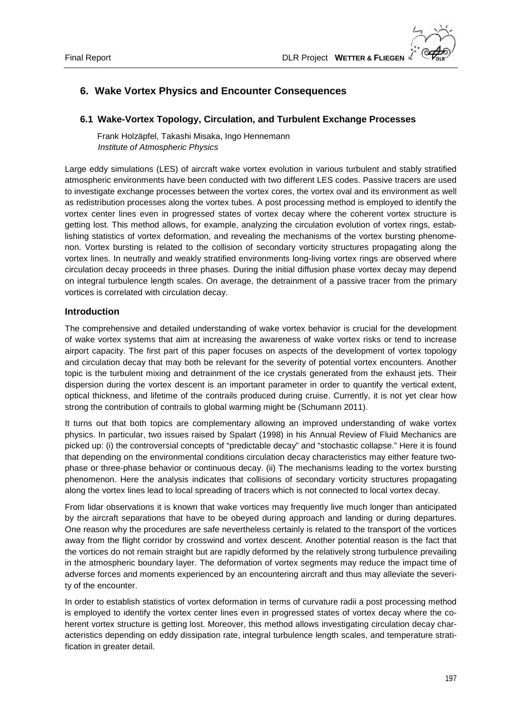# **6. Wake Vortex Physics and Encounter Consequences**

## **6.1 Wake-Vortex Topology, Circulation, and Turbulent Exchange Processes**

Frank Holzäpfel, Takashi Misaka, Ingo Hennemann  *Institute of Atmospheric Physics* 

Large eddy simulations (LES) of aircraft wake vortex evolution in various turbulent and stably stratified atmospheric environments have been conducted with two different LES codes. Passive tracers are used to investigate exchange processes between the vortex cores, the vortex oval and its environment as well as redistribution processes along the vortex tubes. A post processing method is employed to identify the vortex center lines even in progressed states of vortex decay where the coherent vortex structure is getting lost. This method allows, for example, analyzing the circulation evolution of vortex rings, establishing statistics of vortex deformation, and revealing the mechanisms of the vortex bursting phenomenon. Vortex bursting is related to the collision of secondary vorticity structures propagating along the vortex lines. In neutrally and weakly stratified environments long-living vortex rings are observed where circulation decay proceeds in three phases. During the initial diffusion phase vortex decay may depend on integral turbulence length scales. On average, the detrainment of a passive tracer from the primary vortices is correlated with circulation decay.

### **Introduction**

The comprehensive and detailed understanding of wake vortex behavior is crucial for the development of wake vortex systems that aim at increasing the awareness of wake vortex risks or tend to increase airport capacity. The first part of this paper focuses on aspects of the development of vortex topology and circulation decay that may both be relevant for the severity of potential vortex encounters. Another topic is the turbulent mixing and detrainment of the ice crystals generated from the exhaust jets. Their dispersion during the vortex descent is an important parameter in order to quantify the vertical extent, optical thickness, and lifetime of the contrails produced during cruise. Currently, it is not yet clear how strong the contribution of contrails to global warming might be (Schumann 2011).

It turns out that both topics are complementary allowing an improved understanding of wake vortex physics. In particular, two issues raised by Spalart (1998) in his Annual Review of Fluid Mechanics are picked up: (i) the controversial concepts of "predictable decay" and "stochastic collapse." Here it is found that depending on the environmental conditions circulation decay characteristics may either feature twophase or three-phase behavior or continuous decay. (ii) The mechanisms leading to the vortex bursting phenomenon. Here the analysis indicates that collisions of secondary vorticity structures propagating along the vortex lines lead to local spreading of tracers which is not connected to local vortex decay.

From lidar observations it is known that wake vortices may frequently live much longer than anticipated by the aircraft separations that have to be obeyed during approach and landing or during departures. One reason why the procedures are safe nevertheless certainly is related to the transport of the vortices away from the flight corridor by crosswind and vortex descent. Another potential reason is the fact that the vortices do not remain straight but are rapidly deformed by the relatively strong turbulence prevailing in the atmospheric boundary layer. The deformation of vortex segments may reduce the impact time of adverse forces and moments experienced by an encountering aircraft and thus may alleviate the severity of the encounter.

In order to establish statistics of vortex deformation in terms of curvature radii a post processing method is employed to identify the vortex center lines even in progressed states of vortex decay where the coherent vortex structure is getting lost. Moreover, this method allows investigating circulation decay characteristics depending on eddy dissipation rate, integral turbulence length scales, and temperature stratification in greater detail.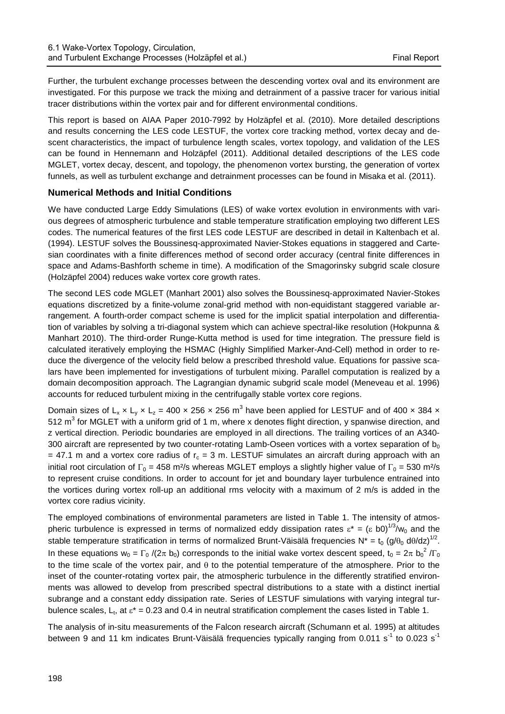Further, the turbulent exchange processes between the descending vortex oval and its environment are investigated. For this purpose we track the mixing and detrainment of a passive tracer for various initial tracer distributions within the vortex pair and for different environmental conditions.

This report is based on AIAA Paper 2010-7992 by Holzäpfel et al. (2010). More detailed descriptions and results concerning the LES code LESTUF, the vortex core tracking method, vortex decay and descent characteristics, the impact of turbulence length scales, vortex topology, and validation of the LES can be found in Hennemann and Holzäpfel (2011). Additional detailed descriptions of the LES code MGLET, vortex decay, descent, and topology, the phenomenon vortex bursting, the generation of vortex funnels, as well as turbulent exchange and detrainment processes can be found in Misaka et al. (2011).

## **Numerical Methods and Initial Conditions**

We have conducted Large Eddy Simulations (LES) of wake vortex evolution in environments with various degrees of atmospheric turbulence and stable temperature stratification employing two different LES codes. The numerical features of the first LES code LESTUF are described in detail in Kaltenbach et al. (1994). LESTUF solves the Boussinesq-approximated Navier-Stokes equations in staggered and Cartesian coordinates with a finite differences method of second order accuracy (central finite differences in space and Adams-Bashforth scheme in time). A modification of the Smagorinsky subgrid scale closure (Holzäpfel 2004) reduces wake vortex core growth rates.

The second LES code MGLET (Manhart 2001) also solves the Boussinesq-approximated Navier-Stokes equations discretized by a finite-volume zonal-grid method with non-equidistant staggered variable arrangement. A fourth-order compact scheme is used for the implicit spatial interpolation and differentiation of variables by solving a tri-diagonal system which can achieve spectral-like resolution (Hokpunna & Manhart 2010). The third-order Runge-Kutta method is used for time integration. The pressure field is calculated iteratively employing the HSMAC (Highly Simplified Marker-And-Cell) method in order to reduce the divergence of the velocity field below a prescribed threshold value. Equations for passive scalars have been implemented for investigations of turbulent mixing. Parallel computation is realized by a domain decomposition approach. The Lagrangian dynamic subgrid scale model (Meneveau et al. 1996) accounts for reduced turbulent mixing in the centrifugally stable vortex core regions.

Domain sizes of  $L_x \times L_y \times L_z = 400 \times 256 \times 256$  m<sup>3</sup> have been applied for LESTUF and of 400 x 384 x 512  $m<sup>3</sup>$  for MGLET with a uniform grid of 1 m, where x denotes flight direction, y spanwise direction, and z vertical direction. Periodic boundaries are employed in all directions. The trailing vortices of an A340- 300 aircraft are represented by two counter-rotating Lamb-Oseen vortices with a vortex separation of  $b_0$ = 47.1 m and a vortex core radius of  $r_c$  = 3 m. LESTUF simulates an aircraft during approach with an initial root circulation of  $\Gamma_0 = 458$  m<sup>2</sup>/s whereas MGLET employs a slightly higher value of  $\Gamma_0 = 530$  m<sup>2</sup>/s to represent cruise conditions. In order to account for jet and boundary layer turbulence entrained into the vortices during vortex roll-up an additional rms velocity with a maximum of 2 m/s is added in the vortex core radius vicinity.

The employed combinations of environmental parameters are listed in Table 1. The intensity of atmospheric turbulence is expressed in terms of normalized eddy dissipation rates  $\epsilon^* = (\epsilon \ b0)^{1/3}/w_0$  and the stable temperature stratification in terms of normalized Brunt-Väisälä frequencies N\* = t<sub>0</sub> (g/ $\theta_0$  d $\theta$ /dz)<sup>1/2</sup>. In these equations  $w_0 = \Gamma_0 / (2\pi b_0)$  corresponds to the initial wake vortex descent speed,  $t_0 = 2\pi b_0^2 / \Gamma_0$ to the time scale of the vortex pair, and  $\theta$  to the potential temperature of the atmosphere. Prior to the inset of the counter-rotating vortex pair, the atmospheric turbulence in the differently stratified environments was allowed to develop from prescribed spectral distributions to a state with a distinct inertial subrange and a constant eddy dissipation rate. Series of LESTUF simulations with varying integral turbulence scales, L<sub>t</sub>, at  $\varepsilon^*$  = 0.23 and 0.4 in neutral stratification complement the cases listed in Table 1.

The analysis of in-situ measurements of the Falcon research aircraft (Schumann et al. 1995) at altitudes between 9 and 11 km indicates Brunt-Väisälä frequencies typically ranging from 0.011 s<sup>-1</sup> to 0.023 s<sup>-1</sup>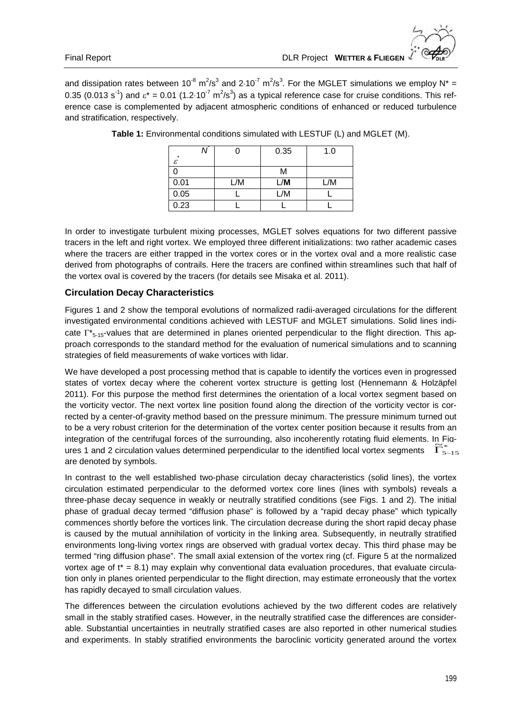and dissipation rates between 10<sup>-8</sup> m<sup>2</sup>/s<sup>3</sup> and 2⋅10<sup>-7</sup> m<sup>2</sup>/s<sup>3</sup>. For the MGLET simulations we employ N\* = 0.35 (0.013 s<sup>-1</sup>) and  $\epsilon^* = 0.01$  (1.2⋅10<sup>-7</sup> m<sup>2</sup>/s<sup>3</sup>) as a typical reference case for cruise conditions. This reference case is complemented by adjacent atmospheric conditions of enhanced or reduced turbulence and stratification, respectively.

| $\star$ |     | 0.35 | 1.0 |
|---------|-----|------|-----|
| ε       |     |      |     |
|         |     | М    |     |
| 0.01    | _/M | _/M  | L/M |
| 0.05    |     | _/M  |     |
| 0.23    |     |      |     |

**Table 1:** Environmental conditions simulated with LESTUF (L) and MGLET (M).

In order to investigate turbulent mixing processes, MGLET solves equations for two different passive tracers in the left and right vortex. We employed three different initializations: two rather academic cases where the tracers are either trapped in the vortex cores or in the vortex oval and a more realistic case derived from photographs of contrails. Here the tracers are confined within streamlines such that half of the vortex oval is covered by the tracers (for details see Misaka et al. 2011).

### **Circulation Decay Characteristics**

Figures 1 and 2 show the temporal evolutions of normalized radii-averaged circulations for the different investigated environmental conditions achieved with LESTUF and MGLET simulations. Solid lines indicate  $\Gamma^*_{5,45}$ -values that are determined in planes oriented perpendicular to the flight direction. This approach corresponds to the standard method for the evaluation of numerical simulations and to scanning strategies of field measurements of wake vortices with lidar.

We have developed a post processing method that is capable to identify the vortices even in progressed states of vortex decay where the coherent vortex structure is getting lost (Hennemann & Holzäpfel 2011). For this purpose the method first determines the orientation of a local vortex segment based on the vorticity vector. The next vortex line position found along the direction of the vorticity vector is corrected by a center-of-gravity method based on the pressure minimum. The pressure minimum turned out to be a very robust criterion for the determination of the vortex center position because it results from an integration of the centrifugal forces of the surrounding, also incoherently rotating fluid elements. In Fig-<br>ures 1 and 2 circulation values determined perpendicular to the identified local vortex segments.  $\widetilde{\Gamma}^*$  $\frac{1}{2}$  and 2 circulation values determined perpendicular to the identified local vortex segments  $\tilde{\Gamma}_{5-15}^*$ are denoted by symbols.

In contrast to the well established two-phase circulation decay characteristics (solid lines), the vortex circulation estimated perpendicular to the deformed vortex core lines (lines with symbols) reveals a three-phase decay sequence in weakly or neutrally stratified conditions (see Figs. 1 and 2). The initial phase of gradual decay termed "diffusion phase" is followed by a "rapid decay phase" which typically commences shortly before the vortices link. The circulation decrease during the short rapid decay phase is caused by the mutual annihilation of vorticity in the linking area. Subsequently, in neutrally stratified environments long-living vortex rings are observed with gradual vortex decay. This third phase may be termed "ring diffusion phase". The small axial extension of the vortex ring (cf. Figure 5 at the normalized vortex age of  $t^* = 8.1$ ) may explain why conventional data evaluation procedures, that evaluate circulation only in planes oriented perpendicular to the flight direction, may estimate erroneously that the vortex has rapidly decayed to small circulation values.

The differences between the circulation evolutions achieved by the two different codes are relatively small in the stably stratified cases. However, in the neutrally stratified case the differences are considerable. Substantial uncertainties in neutrally stratified cases are also reported in other numerical studies and experiments. In stably stratified environments the baroclinic vorticity generated around the vortex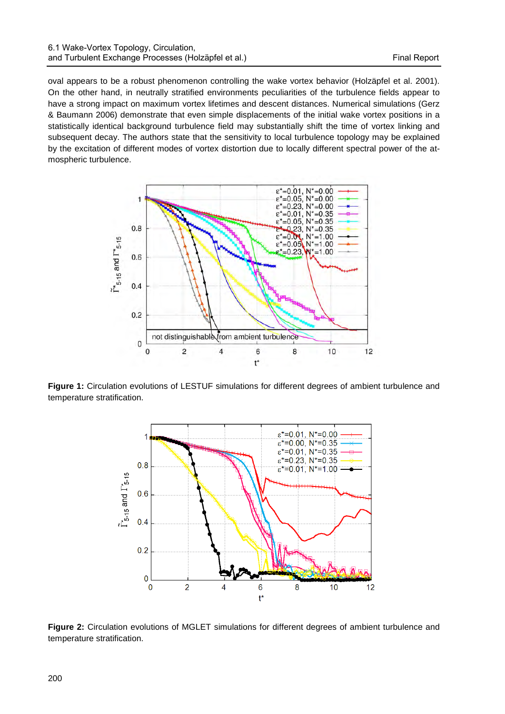oval appears to be a robust phenomenon controlling the wake vortex behavior (Holzäpfel et al. 2001). On the other hand, in neutrally stratified environments peculiarities of the turbulence fields appear to have a strong impact on maximum vortex lifetimes and descent distances. Numerical simulations (Gerz & Baumann 2006) demonstrate that even simple displacements of the initial wake vortex positions in a statistically identical background turbulence field may substantially shift the time of vortex linking and subsequent decay. The authors state that the sensitivity to local turbulence topology may be explained by the excitation of different modes of vortex distortion due to locally different spectral power of the atmospheric turbulence.



**Figure 1:** Circulation evolutions of LESTUF simulations for different degrees of ambient turbulence and temperature stratification.



**Figure 2:** Circulation evolutions of MGLET simulations for different degrees of ambient turbulence and temperature stratification.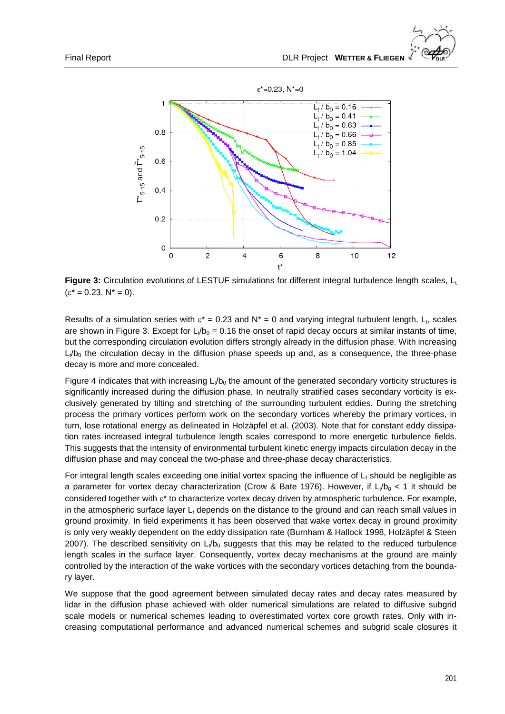

**Figure 3:** Circulation evolutions of LESTUF simulations for different integral turbulence length scales, L<sub>t</sub>  $(\epsilon^* = 0.23, N^* = 0).$ 

Results of a simulation series with  $\varepsilon^* = 0.23$  and N<sup>\*</sup> = 0 and varying integral turbulent length, L<sub>t</sub>, scales are shown in Figure 3. Except for  $L_t/b_0 = 0.16$  the onset of rapid decay occurs at similar instants of time, but the corresponding circulation evolution differs strongly already in the diffusion phase. With increasing  $L_1/b_0$  the circulation decay in the diffusion phase speeds up and, as a consequence, the three-phase decay is more and more concealed.

Figure 4 indicates that with increasing  $L<sub>l</sub>/b<sub>0</sub>$  the amount of the generated secondary vorticity structures is significantly increased during the diffusion phase. In neutrally stratified cases secondary vorticity is exclusively generated by tilting and stretching of the surrounding turbulent eddies. During the stretching process the primary vortices perform work on the secondary vortices whereby the primary vortices, in turn, lose rotational energy as delineated in Holzäpfel et al. (2003). Note that for constant eddy dissipation rates increased integral turbulence length scales correspond to more energetic turbulence fields. This suggests that the intensity of environmental turbulent kinetic energy impacts circulation decay in the diffusion phase and may conceal the two-phase and three-phase decay characteristics.

For integral length scales exceeding one initial vortex spacing the influence of  $L<sub>t</sub>$  should be negligible as a parameter for vortex decay characterization (Crow & Bate 1976). However, if  $L_1/b_0 < 1$  it should be considered together with ε\* to characterize vortex decay driven by atmospheric turbulence. For example, in the atmospheric surface layer  $L_t$  depends on the distance to the ground and can reach small values in ground proximity. In field experiments it has been observed that wake vortex decay in ground proximity is only very weakly dependent on the eddy dissipation rate (Burnham & Hallock 1998, Holzäpfel & Steen 2007). The described sensitivity on  $L/b_0$  suggests that this may be related to the reduced turbulence length scales in the surface layer. Consequently, vortex decay mechanisms at the ground are mainly controlled by the interaction of the wake vortices with the secondary vortices detaching from the boundary layer.

We suppose that the good agreement between simulated decay rates and decay rates measured by lidar in the diffusion phase achieved with older numerical simulations are related to diffusive subgrid scale models or numerical schemes leading to overestimated vortex core growth rates. Only with increasing computational performance and advanced numerical schemes and subgrid scale closures it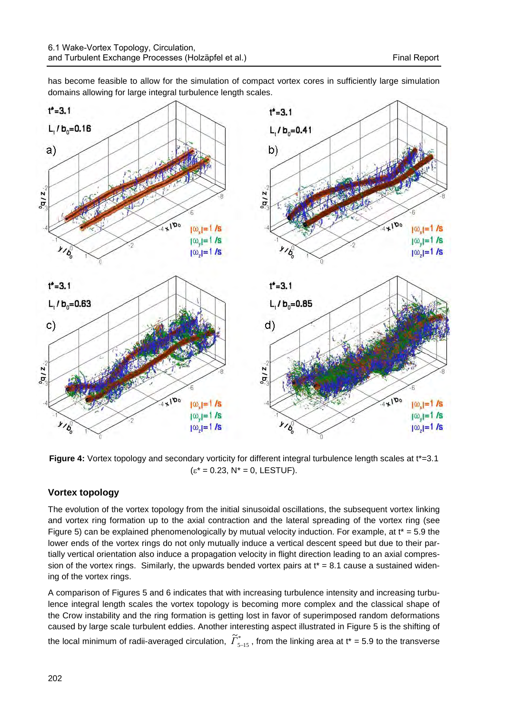has become feasible to allow for the simulation of compact vortex cores in sufficiently large simulation domains allowing for large integral turbulence length scales.



Figure 4: Vortex topology and secondary vorticity for different integral turbulence length scales at t\*=3.1  $(\varepsilon^* = 0.23, N^* = 0, LESTUF).$ 

## **Vortex topology**

The evolution of the vortex topology from the initial sinusoidal oscillations, the subsequent vortex linking and vortex ring formation up to the axial contraction and the lateral spreading of the vortex ring (see Figure 5) can be explained phenomenologically by mutual velocity induction. For example, at  $t^* = 5.9$  the lower ends of the vortex rings do not only mutually induce a vertical descent speed but due to their partially vertical orientation also induce a propagation velocity in flight direction leading to an axial compression of the vortex rings. Similarly, the upwards bended vortex pairs at  $t^* = 8.1$  cause a sustained widening of the vortex rings.

A comparison of Figures 5 and 6 indicates that with increasing turbulence intensity and increasing turbulence integral length scales the vortex topology is becoming more complex and the classical shape of the Crow instability and the ring formation is getting lost in favor of superimposed random deformations caused by large scale turbulent eddies. Another interesting aspect illustrated in Figure 5 is the shifting of the local minimum of radii-averaged circulation,  $\widetilde\varGamma^*_{_{5-15}}$  $\widetilde{\Gamma}^*_{5-15}$ , from the linking area at t<sup>\*</sup> = 5.9 to the transverse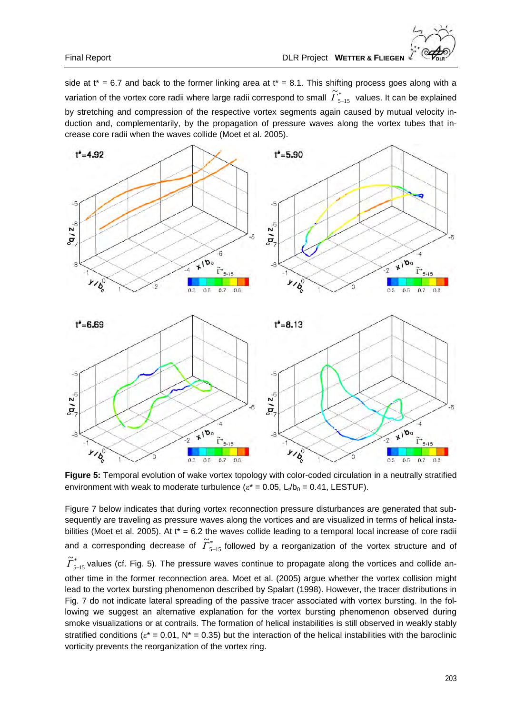side at  $t^* = 6.7$  and back to the former linking area at  $t^* = 8.1$ . This shifting process goes along with a variation of the vortex core radii where large radii correspond to small  $\widetilde\varGamma_{5-15}^*$  $\widetilde{\Gamma}_{5-15}^*$  values. It can be explained by stretching and compression of the respective vortex segments again caused by mutual velocity induction and, complementarily, by the propagation of pressure waves along the vortex tubes that increase core radii when the waves collide (Moet et al. 2005).



**Figure 5:** Temporal evolution of wake vortex topology with color-coded circulation in a neutrally stratified environment with weak to moderate turbulence ( $\varepsilon^* = 0.05$ ,  $L_y/b_0 = 0.41$ , LESTUF).

Figure 7 below indicates that during vortex reconnection pressure disturbances are generated that subsequently are traveling as pressure waves along the vortices and are visualized in terms of helical instabilities (Moet et al. 2005). At t\* = 6.2 the waves collide leading to a temporal local increase of core radii and a corresponding decrease of  $\widetilde{\varGamma}^*_{5\text{--}15}$  $\widetilde{\Gamma}^*_{5-15}$  followed by a reorganization of the vortex structure and of \*  $5 - 15$  $\widetilde{\varGamma}^*_{_{5-15}}$  values (cf. Fig. 5). The pressure waves continue to propagate along the vortices and collide another time in the former reconnection area. Moet et al. (2005) argue whether the vortex collision might lead to the vortex bursting phenomenon described by Spalart (1998). However, the tracer distributions in Fig. 7 do not indicate lateral spreading of the passive tracer associated with vortex bursting. In the following we suggest an alternative explanation for the vortex bursting phenomenon observed during smoke visualizations or at contrails. The formation of helical instabilities is still observed in weakly stably stratified conditions ( $\varepsilon^* = 0.01$ , N<sup>\*</sup> = 0.35) but the interaction of the helical instabilities with the baroclinic vorticity prevents the reorganization of the vortex ring.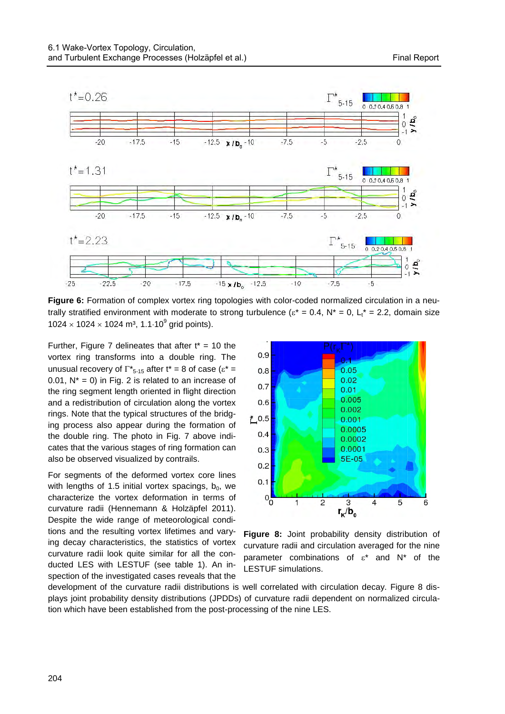

**Figure 6:** Formation of complex vortex ring topologies with color-coded normalized circulation in a neutrally stratified environment with moderate to strong turbulence ( $\varepsilon^* = 0.4$ ,  $N^* = 0$ ,  $L^* = 2.2$ , domain size  $1024 \times 1024 \times 1024$  m<sup>3</sup>, 1.1⋅10<sup>9</sup> grid points).

Further, Figure 7 delineates that after  $t^* = 10$  the vortex ring transforms into a double ring. The unusual recovery of  $\Gamma_{5-15}^*$  after t<sup>\*</sup> = 8 of case ( $\varepsilon^*$  = 0.01,  $N^* = 0$ ) in Fig. 2 is related to an increase of the ring segment length oriented in flight direction and a redistribution of circulation along the vortex rings. Note that the typical structures of the bridging process also appear during the formation of the double ring. The photo in Fig. 7 above indicates that the various stages of ring formation can also be observed visualized by contrails.

For segments of the deformed vortex core lines with lengths of 1.5 initial vortex spacings,  $b_0$ , we characterize the vortex deformation in terms of curvature radii (Hennemann & Holzäpfel 2011). Despite the wide range of meteorological conditions and the resulting vortex lifetimes and varying decay characteristics, the statistics of vortex curvature radii look quite similar for all the conducted LES with LESTUF (see table 1). An inspection of the investigated cases reveals that the



**Figure 8:** Joint probability density distribution of curvature radii and circulation averaged for the nine parameter combinations of  $\varepsilon^*$  and  $N^*$  of the LESTUF simulations.

development of the curvature radii distributions is well correlated with circulation decay. Figure 8 displays joint probability density distributions (JPDDs) of curvature radii dependent on normalized circulation which have been established from the post-processing of the nine LES.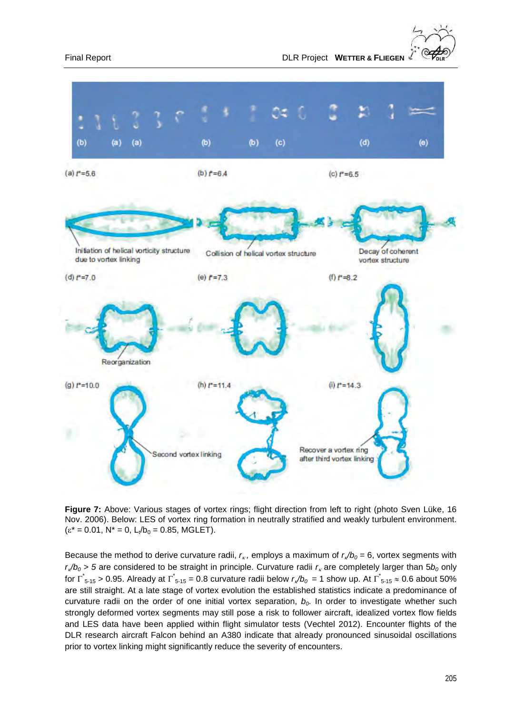

**Figure 7:** Above: Various stages of vortex rings; flight direction from left to right (photo Sven Lüke, 16 Nov. 2006). Below: LES of vortex ring formation in neutrally stratified and weakly turbulent environment.  $(\varepsilon^* = 0.01, N^* = 0, L_t/b_0 = 0.85, MGLET).$ 

Because the method to derive curvature radii,  $r_k$ , employs a maximum of  $r_k/b_0 = 6$ , vortex segments with  $r_k/b_0 > 5$  are considered to be straight in principle. Curvature radii  $r_k$  are completely larger than  $5b_0$  only for  $\Gamma_{5-15}$  > 0.95. Already at  $\Gamma_{5-15}$  = 0.8 curvature radii below  $r_s/b_0$  = 1 show up. At  $\Gamma_{5-15}^* \approx 0.6$  about 50% are still straight. At a late stage of vortex evolution the established statistics indicate a predominance of curvature radii on the order of one initial vortex separation,  $b<sub>0</sub>$ . In order to investigate whether such strongly deformed vortex segments may still pose a risk to follower aircraft, idealized vortex flow fields and LES data have been applied within flight simulator tests (Vechtel 2012). Encounter flights of the DLR research aircraft Falcon behind an A380 indicate that already pronounced sinusoidal oscillations prior to vortex linking might significantly reduce the severity of encounters.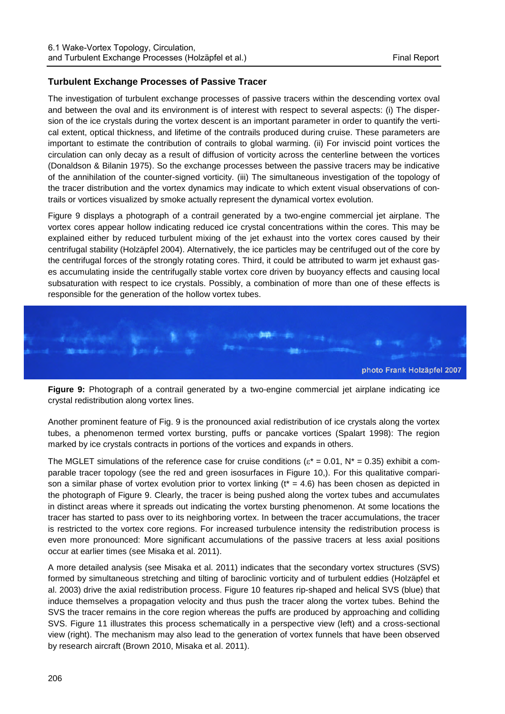## **Turbulent Exchange Processes of Passive Tracer**

The investigation of turbulent exchange processes of passive tracers within the descending vortex oval and between the oval and its environment is of interest with respect to several aspects: (i) The dispersion of the ice crystals during the vortex descent is an important parameter in order to quantify the vertical extent, optical thickness, and lifetime of the contrails produced during cruise. These parameters are important to estimate the contribution of contrails to global warming. (ii) For inviscid point vortices the circulation can only decay as a result of diffusion of vorticity across the centerline between the vortices (Donaldson & Bilanin 1975). So the exchange processes between the passive tracers may be indicative of the annihilation of the counter-signed vorticity. (iii) The simultaneous investigation of the topology of the tracer distribution and the vortex dynamics may indicate to which extent visual observations of contrails or vortices visualized by smoke actually represent the dynamical vortex evolution.

Figure 9 displays a photograph of a contrail generated by a two-engine commercial jet airplane. The vortex cores appear hollow indicating reduced ice crystal concentrations within the cores. This may be explained either by reduced turbulent mixing of the jet exhaust into the vortex cores caused by their centrifugal stability (Holzäpfel 2004). Alternatively, the ice particles may be centrifuged out of the core by the centrifugal forces of the strongly rotating cores. Third, it could be attributed to warm jet exhaust gases accumulating inside the centrifugally stable vortex core driven by buoyancy effects and causing local subsaturation with respect to ice crystals. Possibly, a combination of more than one of these effects is responsible for the generation of the hollow vortex tubes.



**Figure 9:** Photograph of a contrail generated by a two-engine commercial jet airplane indicating ice crystal redistribution along vortex lines.

Another prominent feature of Fig. 9 is the pronounced axial redistribution of ice crystals along the vortex tubes, a phenomenon termed vortex bursting, puffs or pancake vortices (Spalart 1998): The region marked by ice crystals contracts in portions of the vortices and expands in others.

The MGLET simulations of the reference case for cruise conditions ( $\varepsilon^* = 0.01$ ,  $N^* = 0.35$ ) exhibit a comparable tracer topology (see the red and green isosurfaces in Figure 10,). For this qualitative comparison a similar phase of vortex evolution prior to vortex linking  $(t^* = 4.6)$  has been chosen as depicted in the photograph of Figure 9. Clearly, the tracer is being pushed along the vortex tubes and accumulates in distinct areas where it spreads out indicating the vortex bursting phenomenon. At some locations the tracer has started to pass over to its neighboring vortex. In between the tracer accumulations, the tracer is restricted to the vortex core regions. For increased turbulence intensity the redistribution process is even more pronounced: More significant accumulations of the passive tracers at less axial positions occur at earlier times (see Misaka et al. 2011).

A more detailed analysis (see Misaka et al. 2011) indicates that the secondary vortex structures (SVS) formed by simultaneous stretching and tilting of baroclinic vorticity and of turbulent eddies (Holzäpfel et al. 2003) drive the axial redistribution process. Figure 10 features rip-shaped and helical SVS (blue) that induce themselves a propagation velocity and thus push the tracer along the vortex tubes. Behind the SVS the tracer remains in the core region whereas the puffs are produced by approaching and colliding SVS. Figure 11 illustrates this process schematically in a perspective view (left) and a cross-sectional view (right). The mechanism may also lead to the generation of vortex funnels that have been observed by research aircraft (Brown 2010, Misaka et al. 2011).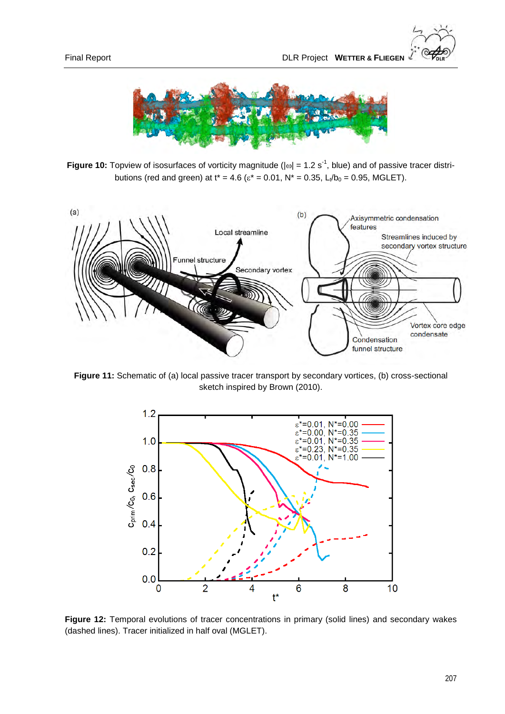

**Figure 10:** Topview of isosurfaces of vorticity magnitude ( $|\omega| = 1.2$  s<sup>-1</sup>, blue) and of passive tracer distributions (red and green) at  $t^* = 4.6$  ( $\varepsilon^* = 0.01$ ,  $N^* = 0.35$ ,  $L_t/b_0 = 0.95$ , MGLET).



**Figure 11:** Schematic of (a) local passive tracer transport by secondary vortices, (b) cross-sectional sketch inspired by Brown (2010).



**Figure 12:** Temporal evolutions of tracer concentrations in primary (solid lines) and secondary wakes (dashed lines). Tracer initialized in half oval (MGLET).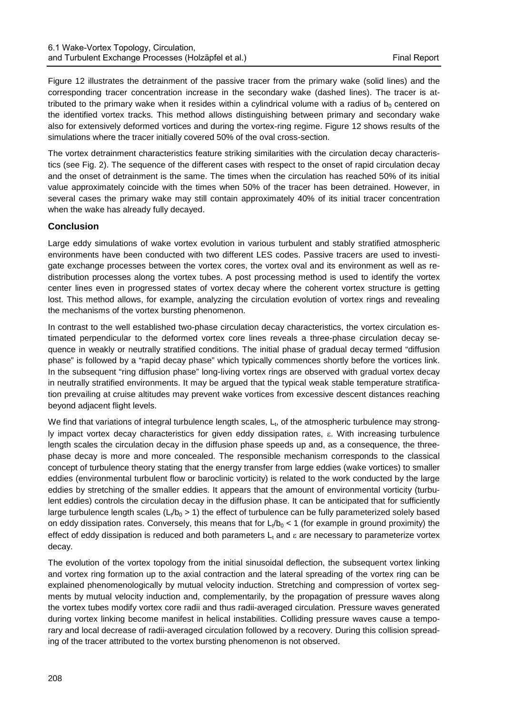Figure 12 illustrates the detrainment of the passive tracer from the primary wake (solid lines) and the corresponding tracer concentration increase in the secondary wake (dashed lines). The tracer is attributed to the primary wake when it resides within a cylindrical volume with a radius of  $b<sub>0</sub>$  centered on the identified vortex tracks. This method allows distinguishing between primary and secondary wake also for extensively deformed vortices and during the vortex-ring regime. Figure 12 shows results of the simulations where the tracer initially covered 50% of the oval cross-section.

The vortex detrainment characteristics feature striking similarities with the circulation decay characteristics (see Fig. 2). The sequence of the different cases with respect to the onset of rapid circulation decay and the onset of detrainment is the same. The times when the circulation has reached 50% of its initial value approximately coincide with the times when 50% of the tracer has been detrained. However, in several cases the primary wake may still contain approximately 40% of its initial tracer concentration when the wake has already fully decayed.

## **Conclusion**

Large eddy simulations of wake vortex evolution in various turbulent and stably stratified atmospheric environments have been conducted with two different LES codes. Passive tracers are used to investigate exchange processes between the vortex cores, the vortex oval and its environment as well as redistribution processes along the vortex tubes. A post processing method is used to identify the vortex center lines even in progressed states of vortex decay where the coherent vortex structure is getting lost. This method allows, for example, analyzing the circulation evolution of vortex rings and revealing the mechanisms of the vortex bursting phenomenon.

In contrast to the well established two-phase circulation decay characteristics, the vortex circulation estimated perpendicular to the deformed vortex core lines reveals a three-phase circulation decay sequence in weakly or neutrally stratified conditions. The initial phase of gradual decay termed "diffusion phase" is followed by a "rapid decay phase" which typically commences shortly before the vortices link. In the subsequent "ring diffusion phase" long-living vortex rings are observed with gradual vortex decay in neutrally stratified environments. It may be argued that the typical weak stable temperature stratification prevailing at cruise altitudes may prevent wake vortices from excessive descent distances reaching beyond adjacent flight levels.

We find that variations of integral turbulence length scales,  $L<sub>t</sub>$ , of the atmospheric turbulence may strongly impact vortex decay characteristics for given eddy dissipation rates, ε. With increasing turbulence length scales the circulation decay in the diffusion phase speeds up and, as a consequence, the threephase decay is more and more concealed. The responsible mechanism corresponds to the classical concept of turbulence theory stating that the energy transfer from large eddies (wake vortices) to smaller eddies (environmental turbulent flow or baroclinic vorticity) is related to the work conducted by the large eddies by stretching of the smaller eddies. It appears that the amount of environmental vorticity (turbulent eddies) controls the circulation decay in the diffusion phase. It can be anticipated that for sufficiently large turbulence length scales ( $L_t/b_0 > 1$ ) the effect of turbulence can be fully parameterized solely based on eddy dissipation rates. Conversely, this means that for  $L_t/b_0 < 1$  (for example in ground proximity) the effect of eddy dissipation is reduced and both parameters  $L_t$  and  $\varepsilon$  are necessary to parameterize vortex decay.

The evolution of the vortex topology from the initial sinusoidal deflection, the subsequent vortex linking and vortex ring formation up to the axial contraction and the lateral spreading of the vortex ring can be explained phenomenologically by mutual velocity induction. Stretching and compression of vortex segments by mutual velocity induction and, complementarily, by the propagation of pressure waves along the vortex tubes modify vortex core radii and thus radii-averaged circulation. Pressure waves generated during vortex linking become manifest in helical instabilities. Colliding pressure waves cause a temporary and local decrease of radii-averaged circulation followed by a recovery. During this collision spreading of the tracer attributed to the vortex bursting phenomenon is not observed.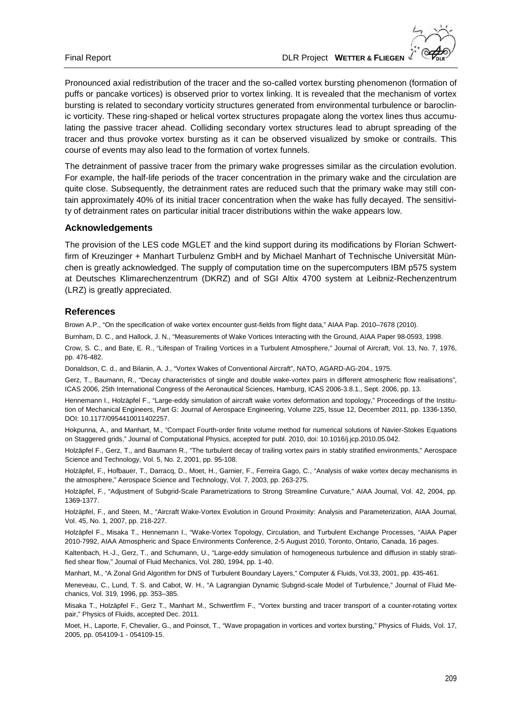

Pronounced axial redistribution of the tracer and the so-called vortex bursting phenomenon (formation of puffs or pancake vortices) is observed prior to vortex linking. It is revealed that the mechanism of vortex bursting is related to secondary vorticity structures generated from environmental turbulence or baroclinic vorticity. These ring-shaped or helical vortex structures propagate along the vortex lines thus accumulating the passive tracer ahead. Colliding secondary vortex structures lead to abrupt spreading of the tracer and thus provoke vortex bursting as it can be observed visualized by smoke or contrails. This course of events may also lead to the formation of vortex funnels.

The detrainment of passive tracer from the primary wake progresses similar as the circulation evolution. For example, the half-life periods of the tracer concentration in the primary wake and the circulation are quite close. Subsequently, the detrainment rates are reduced such that the primary wake may still contain approximately 40% of its initial tracer concentration when the wake has fully decayed. The sensitivity of detrainment rates on particular initial tracer distributions within the wake appears low.

### **Acknowledgements**

The provision of the LES code MGLET and the kind support during its modifications by Florian Schwertfirm of Kreuzinger + Manhart Turbulenz GmbH and by Michael Manhart of Technische Universität München is greatly acknowledged. The supply of computation time on the supercomputers IBM p575 system at Deutsches Klimarechenzentrum (DKRZ) and of SGI Altix 4700 system at Leibniz-Rechenzentrum (LRZ) is greatly appreciated.

### **References**

Brown A.P., "On the specification of wake vortex encounter gust-fields from flight data," AIAA Pap. 2010–7678 (2010).

Burnham, D. C., and Hallock, J. N., "Measurements of Wake Vortices Interacting with the Ground, AIAA Paper 98-0593, 1998.

Crow, S. C., and Bate, E. R., "Lifespan of Trailing Vortices in a Turbulent Atmosphere," Journal of Aircraft, Vol. 13, No. 7, 1976, pp. 476-482.

Donaldson, C. d., and Bilanin, A. J., "Vortex Wakes of Conventional Aircraft", NATO, AGARD-AG-204., 1975.

Gerz, T., Baumann, R., "Decay characteristics of single and double wake-vortex pairs in different atmospheric flow realisations", ICAS 2006, 25th International Congress of the Aeronautical Sciences, Hamburg, ICAS 2006-3.8.1., Sept. 2006, pp. 13.

Hennemann I., Holzäpfel F., "Large-eddy simulation of aircraft wake vortex deformation and topology," Proceedings of the Institution of Mechanical Engineers, Part G: Journal of Aerospace Engineering, Volume 225, Issue 12, December 2011, pp. 1336-1350, DOI: 10.1177/0954410011402257.

Hokpunna, A., and Manhart, M., "Compact Fourth-order finite volume method for numerical solutions of Navier-Stokes Equations on Staggered grids," Journal of Computational Physics, accepted for publ. 2010, doi: 10.1016/j.jcp.2010.05.042.

Holzäpfel F., Gerz, T., and Baumann R., "The turbulent decay of trailing vortex pairs in stably stratified environments," Aerospace Science and Technology, Vol. 5, No. 2, 2001, pp. 95-108.

Holzäpfel, F., Hofbauer, T., Darracq, D., Moet, H., Garnier, F., Ferreira Gago, C., "Analysis of wake vortex decay mechanisms in the atmosphere," Aerospace Science and Technology, Vol. 7, 2003, pp. 263-275.

Holzäpfel, F., "Adjustment of Subgrid-Scale Parametrizations to Strong Streamline Curvature," AIAA Journal, Vol. 42, 2004, pp. 1369-1377.

Holzäpfel, F., and Steen, M., "Aircraft Wake-Vortex Evolution in Ground Proximity: Analysis and Parameterization, AIAA Journal, Vol. 45, No. 1, 2007, pp. 218-227.

Holzäpfel F., Misaka T., Hennemann I., "Wake-Vortex Topology, Circulation, and Turbulent Exchange Processes, "AIAA Paper 2010-7992, AIAA Atmospheric and Space Environments Conference, 2-5 August 2010, Toronto, Ontario, Canada, 16 pages.

Kaltenbach, H.-J., Gerz, T., and Schumann, U., "Large-eddy simulation of homogeneous turbulence and diffusion in stably stratified shear flow," Journal of Fluid Mechanics, Vol. 280, 1994, pp. 1-40.

Manhart, M., "A Zonal Grid Algorithm for DNS of Turbulent Boundary Layers," Computer & Fluids, Vol.33, 2001, pp. 435-461.

Meneveau, C., Lund, T. S. and Cabot, W. H., "A Lagrangian Dynamic Subgrid-scale Model of Turbulence," Journal of Fluid Mechanics, Vol. 319, 1996, pp. 353–385.

Misaka T., Holzäpfel F., Gerz T., Manhart M., Schwertfirm F., "Vortex bursting and tracer transport of a counter-rotating vortex pair," Physics of Fluids, accepted Dec. 2011.

Moet, H., Laporte, F, Chevalier, G., and Poinsot, T., "Wave propagation in vortices and vortex bursting," Physics of Fluids, Vol. 17, 2005, pp. 054109-1 - 054109-15.